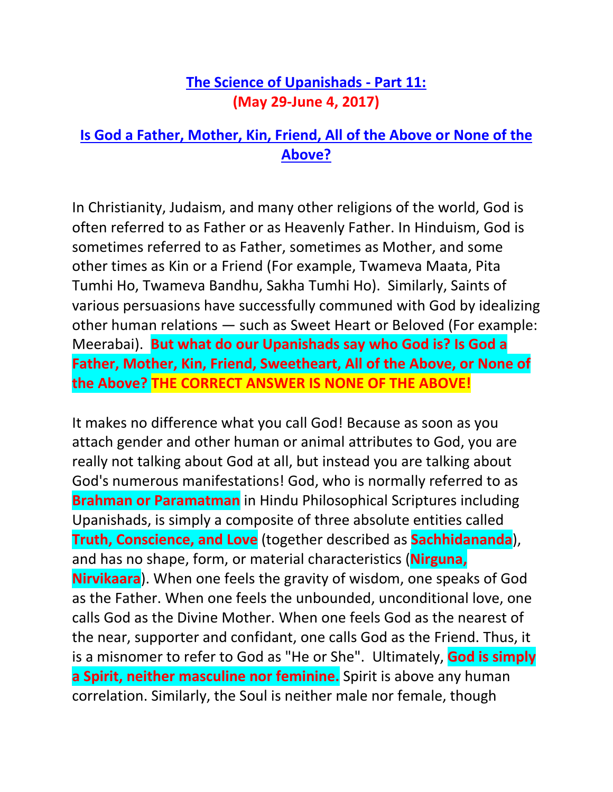## **[The Science of Upanishads -](http://www.allaboutgod.com/who-is-god-c.htm) Part 11: (May 29-June 4, 2017)**

## **[Is God a Father, Mother, Kin, Friend, All of the Above or None of the](http://www.allaboutgod.com/who-is-god-c.htm)  [Above?](http://www.allaboutgod.com/who-is-god-c.htm)**

In Christianity, Judaism, and many other religions of the world, God is often referred to as Father or as Heavenly Father. In Hinduism, God is sometimes referred to as Father, sometimes as Mother, and some other times as Kin or a Friend (For example, Twameva Maata, Pita Tumhi Ho, Twameva Bandhu, Sakha Tumhi Ho). Similarly, Saints of various persuasions have successfully communed with God by idealizing other human relations — such as Sweet Heart or Beloved (For example: Meerabai). **But what do our Upanishads say who God is? Is God a Father, Mother, Kin, Friend, Sweetheart, All of the Above, or None of the Above? THE CORRECT ANSWER IS NONE OF THE ABOVE!**

It makes no difference what you call God! Because as soon as you attach gender and other human or animal attributes to God, you are really not talking about God at all, but instead you are talking about God's numerous manifestations! God, who is normally referred to as **Brahman or Paramatman** in Hindu Philosophical Scriptures including Upanishads, is simply a composite of three absolute entities called **Truth, Conscience, and Love** (together described as **Sachhidananda**), and has no shape, form, or material characteristics (**Nirguna, Nirvikaara**). When one feels the gravity of wisdom, one speaks of God as the Father. When one feels the unbounded, unconditional love, one calls God as the Divine Mother. When one feels God as the nearest of the near, supporter and confidant, one calls God as the Friend. Thus, it is a misnomer to refer to God as "He or She". Ultimately, **God is simply a Spirit, neither masculine nor feminine.** Spirit is above any human correlation. Similarly, the Soul is neither male nor female, though